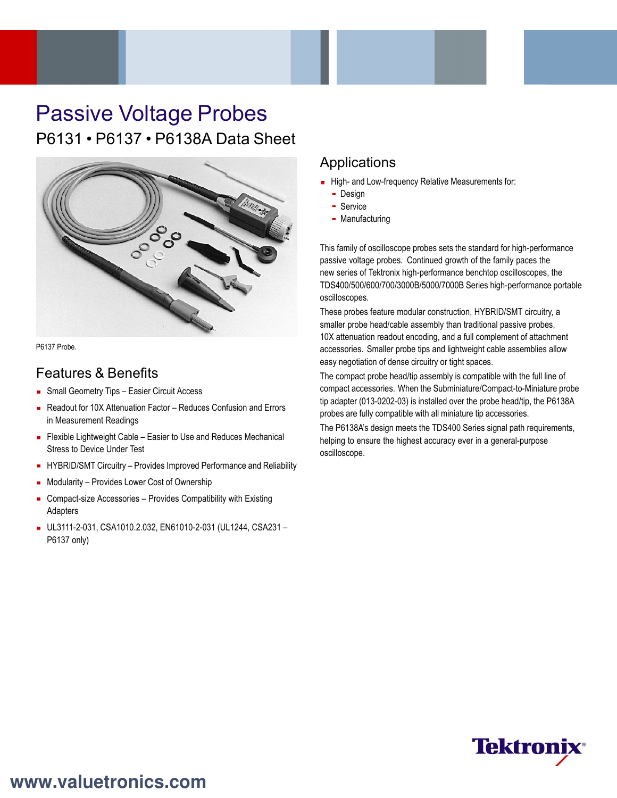# Passive Voltage Probes P6131 • P6137 • P6138A Data Sheet



P6137 Probe.

# Features & Benefits

- **Small Geometry Tips Easier Circuit Access**
- Readout for 10X Attenuation Factor Reduces Confusion and Errors in Measurement Readings
- **Flexible Lightweight Cable Easier to Use and Reduces Mechanical** Stress to Device Under Test
- **HYBRID/SMT Circuitry Provides Improved Performance and Reliability**
- **Modularity Provides Lower Cost of Ownership**
- Compact-size Accessories Provides Compatibility with Existing Adapters
- UL3111-2-031, CSA1010.2.032, EN61010-2-031 (UL1244, CSA231 P6137 only)

### Applications

- High- and Low-frequency Relative Measurements for:
	- Design
	- Service
	- Manufacturing

This family of oscilloscope probes sets the standard for high-performance passive voltage probes. Continued growth of the family paces the new series of Tektronix high-performance benchtop oscilloscopes, the TDS400/500/600/700/3000B/5000/7000B Series high-performance portable oscilloscopes.

These probes feature modular construction, HYBRID/SMT circuitry, a smaller probe head/cable assembly than traditional passive probes, 10X attenuation readout encoding, and a full complement of attachment accessories. Smaller probe tips and lightweight cable assemblies allow easy negotiation of dense circuitry or tight spaces.

The compact probe head/tip assembly is compatible with the full line of compact accessories. When the Subminiature/Compact-to-Miniature probe tip adapter (013-0202-03) is installed over the probe head/tip, the P6138A probes are fully compatible with all miniature tip accessories.

The P6138A's design meets the TDS400 Series signal path requirements, helping to ensure the highest accuracy ever in a general-purpose oscilloscope.

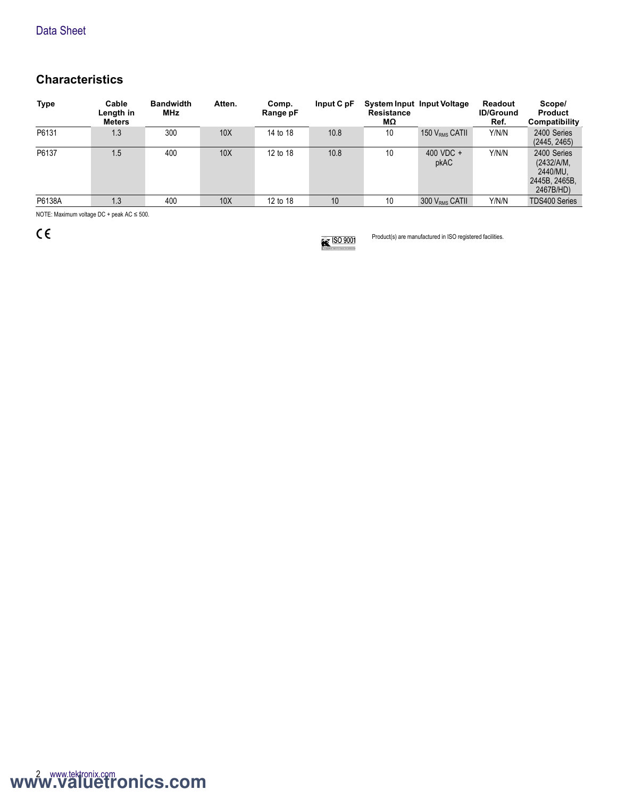# **Characteristics**

| <b>Type</b> | Cable<br>Length in<br><b>Meters</b> | <b>Bandwidth</b><br>MHz | Atten.          | Comp.<br>Range pF | Input C pF | <b>Resistance</b><br>МΩ | System Input Input Voltage | Readout<br><b>ID/Ground</b><br>Ref. | Scope/<br><b>Product</b><br>Compatibility                           |
|-------------|-------------------------------------|-------------------------|-----------------|-------------------|------------|-------------------------|----------------------------|-------------------------------------|---------------------------------------------------------------------|
| P6131       | 1.3                                 | 300                     | 10X             | 14 to 18          | 10.8       | 10                      | 150 V <sub>RMS</sub> CATII | Y/N/N                               | 2400 Series<br>(2445, 2465)                                         |
| P6137       | 1.5                                 | 400                     | 10 <sub>X</sub> | 12 to 18          | 10.8       | 10                      | 400 VDC +<br>pkAC          | Y/N/N                               | 2400 Series<br>(2432/A/M,<br>2440/MU.<br>2445B, 2465B.<br>2467B/HD) |
| P6138A      | 1.3                                 | 400                     | 10X             | 12 to 18          | 10         | 10                      | $300 V_{RMS}$ CATII        | Y/N/N                               | <b>TDS400 Series</b>                                                |
| $\cdots$    |                                     |                         |                 |                   |            |                         |                            |                                     |                                                                     |

NOTE: Maximum voltage DC + peak AC ≤ 500.

 $C \in$ 



Product(s) are manufactured in ISO registered facilities.